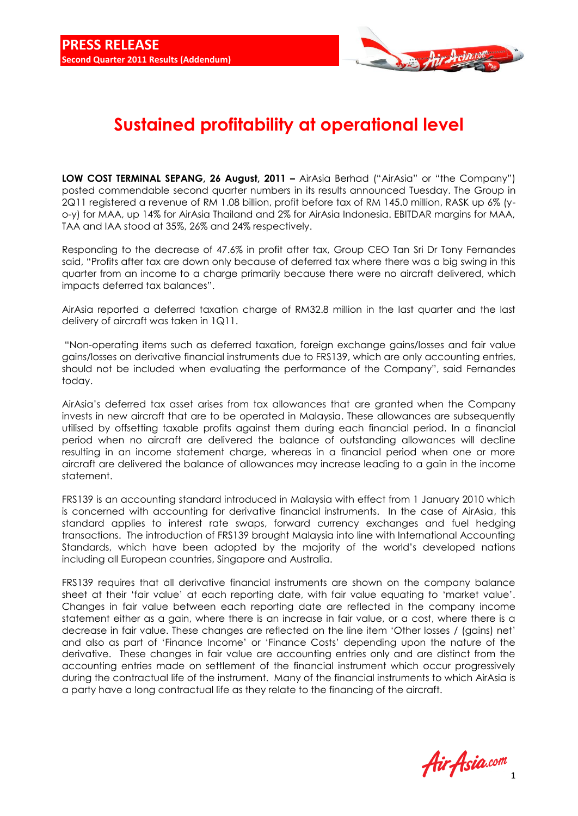

## **Sustained profitability at operational level**

**LOW COST TERMINAL SEPANG, 26 August, 2011 – AirAsia Berhad ("AirAsia" or "the Company")** posted commendable second quarter numbers in its results announced Tuesday. The Group in 2Q11 registered a revenue of RM 1.08 billion, profit before tax of RM 145.0 million, RASK up 6% (yo-y) for MAA, up 14% for AirAsia Thailand and 2% for AirAsia Indonesia. EBITDAR margins for MAA, TAA and IAA stood at 35%, 26% and 24% respectively.

Responding to the decrease of 47.6% in profit after tax, Group CEO Tan Sri Dr Tony Fernandes said, "Profits after tax are down only because of deferred tax where there was a big swing in this quarter from an income to a charge primarily because there were no aircraft delivered, which impacts deferred tax balances".

AirAsia reported a deferred taxation charge of RM32.8 million in the last quarter and the last delivery of aircraft was taken in 1Q11.

"Non-operating items such as deferred taxation, foreign exchange gains/losses and fair value gains/losses on derivative financial instruments due to FRS139, which are only accounting entries, should not be included when evaluating the performance of the Company", said Fernandes today.

AirAsia"s deferred tax asset arises from tax allowances that are granted when the Company invests in new aircraft that are to be operated in Malaysia. These allowances are subsequently utilised by offsetting taxable profits against them during each financial period. In a financial period when no aircraft are delivered the balance of outstanding allowances will decline resulting in an income statement charge, whereas in a financial period when one or more aircraft are delivered the balance of allowances may increase leading to a gain in the income statement.

FRS139 is an accounting standard introduced in Malaysia with effect from 1 January 2010 which is concerned with accounting for derivative financial instruments. In the case of AirAsia, this standard applies to interest rate swaps, forward currency exchanges and fuel hedging transactions. The introduction of FRS139 brought Malaysia into line with International Accounting Standards, which have been adopted by the majority of the world"s developed nations including all European countries, Singapore and Australia.

FRS139 requires that all derivative financial instruments are shown on the company balance sheet at their "fair value" at each reporting date, with fair value equating to "market value". Changes in fair value between each reporting date are reflected in the company income statement either as a gain, where there is an increase in fair value, or a cost, where there is a decrease in fair value. These changes are reflected on the line item "Other losses / (gains) net" and also as part of "Finance Income" or "Finance Costs" depending upon the nature of the derivative. These changes in fair value are accounting entries only and are distinct from the accounting entries made on settlement of the financial instrument which occur progressively during the contractual life of the instrument. Many of the financial instruments to which AirAsia is a party have a long contractual life as they relate to the financing of the aircraft.

Air Asia.com